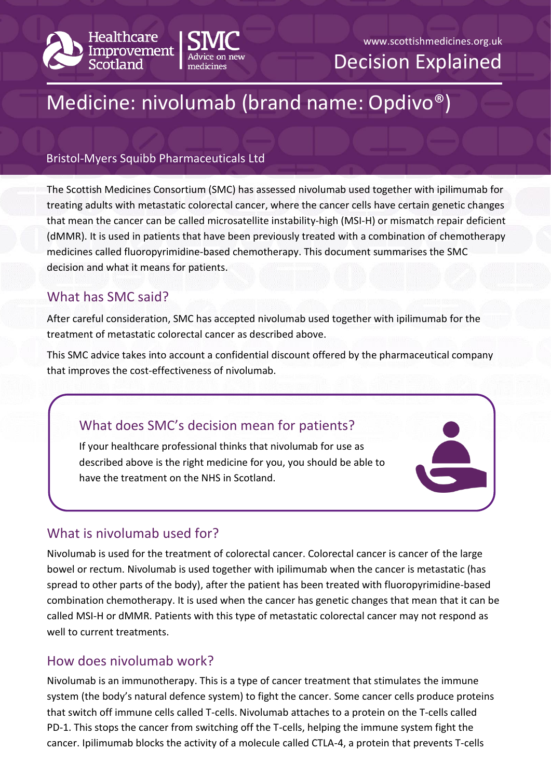



#### www.scottishmedicines.org.uk

Decision Explained

# Medicine: nivolumab (brand name: Opdivo®)

#### Bristol-Myers Squibb Pharmaceuticals Ltd

The Scottish Medicines Consortium (SMC) has assessed nivolumab used together with ipilimumab for treating adults with metastatic colorectal cancer, where the cancer cells have certain genetic changes that mean the cancer can be called microsatellite instability-high (MSI-H) or mismatch repair deficient (dMMR). It is used in patients that have been previously treated with a combination of chemotherapy medicines called fluoropyrimidine-based chemotherapy. This document summarises the SMC decision and what it means for patients.

# What has SMC said?

After careful consideration, SMC has accepted nivolumab used together with ipilimumab for the treatment of metastatic colorectal cancer as described above.

This SMC advice takes into account a confidential discount offered by the pharmaceutical company that improves the cost-effectiveness of nivolumab.

## What does SMC's decision mean for patients?

If your healthcare professional thinks that nivolumab for use as described above is the right medicine for you, you should be able to have the treatment on the NHS in Scotland.

## What is nivolumab used for?

Nivolumab is used for the treatment of colorectal cancer. Colorectal cancer is cancer of the large bowel or rectum. Nivolumab is used together with ipilimumab when the cancer is metastatic (has spread to other parts of the body), after the patient has been treated with fluoropyrimidine-based combination chemotherapy. It is used when the cancer has genetic changes that mean that it can be called MSI-H or dMMR. Patients with this type of metastatic colorectal cancer may not respond as well to current treatments.

## How does nivolumab work?

Nivolumab is an immunotherapy. This is a type of cancer treatment that stimulates the immune system (the body's natural defence system) to fight the cancer. Some cancer cells produce proteins that switch off immune cells called T-cells. Nivolumab attaches to a protein on the T-cells called PD-1. This stops the cancer from switching off the T-cells, helping the immune system fight the cancer. Ipilimumab blocks the activity of a molecule called CTLA-4, a protein that prevents T-cells